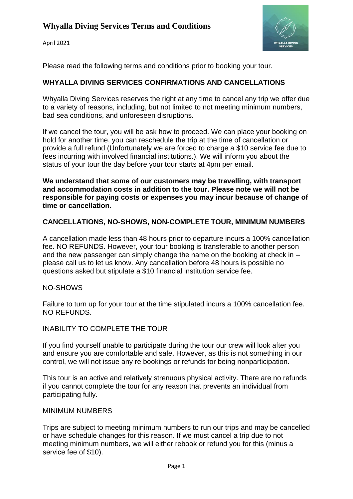April 2021



Please read the following terms and conditions prior to booking your tour.

# **WHYALLA DIVING SERVICES CONFIRMATIONS AND CANCELLATIONS**

Whyalla Diving Services reserves the right at any time to cancel any trip we offer due to a variety of reasons, including, but not limited to not meeting minimum numbers, bad sea conditions, and unforeseen disruptions.

If we cancel the tour, you will be ask how to proceed. We can place your booking on hold for another time, you can reschedule the trip at the time of cancellation or provide a full refund (Unfortunately we are forced to charge a \$10 service fee due to fees incurring with involved financial institutions.). We will inform you about the status of your tour the day before your tour starts at 4pm per email.

**We understand that some of our customers may be travelling, with transport and accommodation costs in addition to the tour. Please note we will not be responsible for paying costs or expenses you may incur because of change of time or cancellation.**

#### **CANCELLATIONS, NO-SHOWS, NON-COMPLETE TOUR, MINIMUM NUMBERS**

A cancellation made less than 48 hours prior to departure incurs a 100% cancellation fee. NO REFUNDS. However, your tour booking is transferable to another person and the new passenger can simply change the name on the booking at check in – please call us to let us know. Any cancellation before 48 hours is possible no questions asked but stipulate a \$10 financial institution service fee.

#### NO-SHOWS

Failure to turn up for your tour at the time stipulated incurs a 100% cancellation fee. NO REFUNDS.

#### INABILITY TO COMPLETE THE TOUR

If you find yourself unable to participate during the tour our crew will look after you and ensure you are comfortable and safe. However, as this is not something in our control, we will not issue any re bookings or refunds for being nonparticipation.

This tour is an active and relatively strenuous physical activity. There are no refunds if you cannot complete the tour for any reason that prevents an individual from participating fully.

#### MINIMUM NUMBERS

Trips are subject to meeting minimum numbers to run our trips and may be cancelled or have schedule changes for this reason. If we must cancel a trip due to not meeting minimum numbers, we will either rebook or refund you for this (minus a service fee of \$10).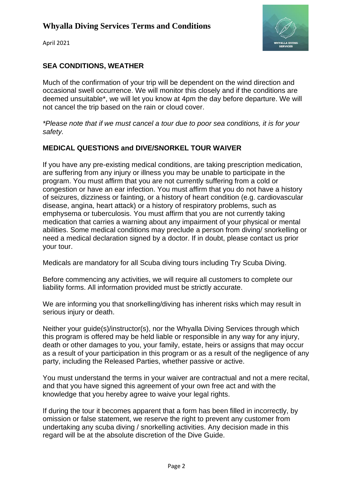

April 2021

# **SEA CONDITIONS, WEATHER**

Much of the confirmation of your trip will be dependent on the wind direction and occasional swell occurrence. We will monitor this closely and if the conditions are deemed unsuitable\*, we will let you know at 4pm the day before departure. We will not cancel the trip based on the rain or cloud cover.

*\*Please note that if we must cancel a tour due to poor sea conditions, it is for your safety.*

## **MEDICAL QUESTIONS and DIVE/SNORKEL TOUR WAIVER**

If you have any pre-existing medical conditions, are taking prescription medication, are suffering from any injury or illness you may be unable to participate in the program. You must affirm that you are not currently suffering from a cold or congestion or have an ear infection. You must affirm that you do not have a history of seizures, dizziness or fainting, or a history of heart condition (e.g. cardiovascular disease, angina, heart attack) or a history of respiratory problems, such as emphysema or tuberculosis. You must affirm that you are not currently taking medication that carries a warning about any impairment of your physical or mental abilities. Some medical conditions may preclude a person from diving/ snorkelling or need a medical declaration signed by a doctor. If in doubt, please contact us prior your tour.

Medicals are mandatory for all Scuba diving tours including Try Scuba Diving.

Before commencing any activities, we will require all customers to complete our liability forms. All information provided must be strictly accurate.

We are informing you that snorkelling/diving has inherent risks which may result in serious injury or death.

Neither your guide(s)/instructor(s), nor the Whyalla Diving Services through which this program is offered may be held liable or responsible in any way for any injury, death or other damages to you, your family, estate, heirs or assigns that may occur as a result of your participation in this program or as a result of the negligence of any party, including the Released Parties, whether passive or active.

You must understand the terms in your waiver are contractual and not a mere recital, and that you have signed this agreement of your own free act and with the knowledge that you hereby agree to waive your legal rights.

If during the tour it becomes apparent that a form has been filled in incorrectly, by omission or false statement, we reserve the right to prevent any customer from undertaking any scuba diving / snorkelling activities. Any decision made in this regard will be at the absolute discretion of the Dive Guide.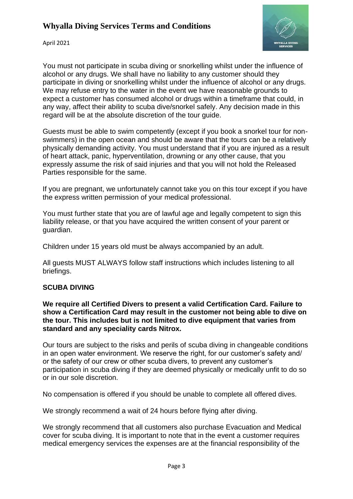

April 2021

You must not participate in scuba diving or snorkelling whilst under the influence of alcohol or any drugs. We shall have no liability to any customer should they participate in diving or snorkelling whilst under the influence of alcohol or any drugs. We may refuse entry to the water in the event we have reasonable grounds to expect a customer has consumed alcohol or drugs within a timeframe that could, in any way, affect their ability to scuba dive/snorkel safely. Any decision made in this regard will be at the absolute discretion of the tour guide.

Guests must be able to swim competently (except if you book a snorkel tour for nonswimmers) in the open ocean and should be aware that the tours can be a relatively physically demanding activity. You must understand that if you are injured as a result of heart attack, panic, hyperventilation, drowning or any other cause, that you expressly assume the risk of said injuries and that you will not hold the Released Parties responsible for the same.

If you are pregnant, we unfortunately cannot take you on this tour except if you have the express written permission of your medical professional.

You must further state that you are of lawful age and legally competent to sign this liability release, or that you have acquired the written consent of your parent or guardian.

Children under 15 years old must be always accompanied by an adult.

All guests MUST ALWAYS follow staff instructions which includes listening to all briefings.

## **SCUBA DIVING**

**We require all Certified Divers to present a valid Certification Card. Failure to show a Certification Card may result in the customer not being able to dive on the tour. This includes but is not limited to dive equipment that varies from standard and any speciality cards Nitrox.**

Our tours are subject to the risks and perils of scuba diving in changeable conditions in an open water environment. We reserve the right, for our customer's safety and/ or the safety of our crew or other scuba divers, to prevent any customer's participation in scuba diving if they are deemed physically or medically unfit to do so or in our sole discretion.

No compensation is offered if you should be unable to complete all offered dives.

We strongly recommend a wait of 24 hours before flying after diving.

We strongly recommend that all customers also purchase Evacuation and Medical cover for scuba diving. It is important to note that in the event a customer requires medical emergency services the expenses are at the financial responsibility of the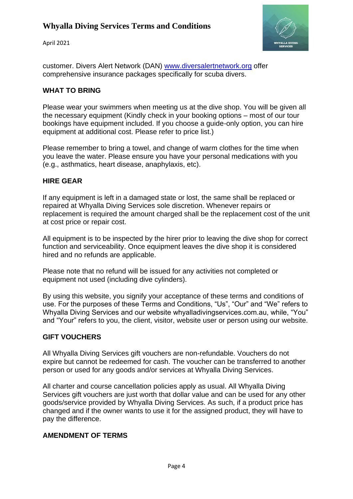April 2021



customer. Divers Alert Network (DAN) [www.diversalertnetwork.org](http://www.diversalertnetwork.org/) offer comprehensive insurance packages specifically for scuba divers.

#### **WHAT TO BRING**

Please wear your swimmers when meeting us at the dive shop. You will be given all the necessary equipment (Kindly check in your booking options – most of our tour bookings have equipment included. If you choose a guide-only option, you can hire equipment at additional cost. Please refer to price list.)

Please remember to bring a towel, and change of warm clothes for the time when you leave the water. Please ensure you have your personal medications with you (e.g., asthmatics, heart disease, anaphylaxis, etc).

#### **HIRE GEAR**

If any equipment is left in a damaged state or lost, the same shall be replaced or repaired at Whyalla Diving Services sole discretion. Whenever repairs or replacement is required the amount charged shall be the replacement cost of the unit at cost price or repair cost.

All equipment is to be inspected by the hirer prior to leaving the dive shop for correct function and serviceability. Once equipment leaves the dive shop it is considered hired and no refunds are applicable.

Please note that no refund will be issued for any activities not completed or equipment not used (including dive cylinders).

By using this website, you signify your acceptance of these terms and conditions of use. For the purposes of these Terms and Conditions, "Us", "Our" and "We" refers to Whyalla Diving Services and our website whyalladivingservices.com.au, while, "You" and "Your" refers to you, the client, visitor, website user or person using our website.

#### **GIFT VOUCHERS**

All Whyalla Diving Services gift vouchers are non-refundable. Vouchers do not expire but cannot be redeemed for cash. The voucher can be transferred to another person or used for any goods and/or services at Whyalla Diving Services.

All charter and course cancellation policies apply as usual. All Whyalla Diving Services gift vouchers are just worth that dollar value and can be used for any other goods/service provided by Whyalla Diving Services. As such, if a product price has changed and if the owner wants to use it for the assigned product, they will have to pay the difference.

#### **AMENDMENT OF TERMS**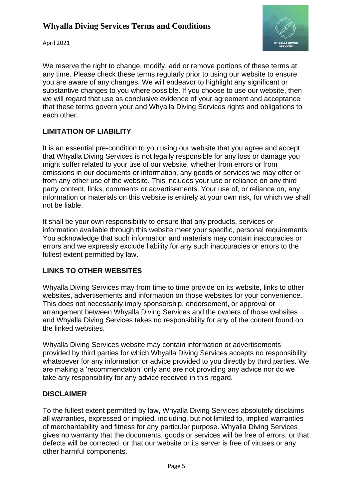

April 2021

We reserve the right to change, modify, add or remove portions of these terms at any time. Please check these terms regularly prior to using our website to ensure you are aware of any changes. We will endeavor to highlight any significant or substantive changes to you where possible. If you choose to use our website, then we will regard that use as conclusive evidence of your agreement and acceptance that these terms govern your and Whyalla Diving Services rights and obligations to each other.

#### **LIMITATION OF LIABILITY**

It is an essential pre-condition to you using our website that you agree and accept that Whyalla Diving Services is not legally responsible for any loss or damage you might suffer related to your use of our website, whether from errors or from omissions in our documents or information, any goods or services we may offer or from any other use of the website. This includes your use or reliance on any third party content, links, comments or advertisements. Your use of, or reliance on, any information or materials on this website is entirely at your own risk, for which we shall not be liable.

It shall be your own responsibility to ensure that any products, services or information available through this website meet your specific, personal requirements. You acknowledge that such information and materials may contain inaccuracies or errors and we expressly exclude liability for any such inaccuracies or errors to the fullest extent permitted by law.

## **LINKS TO OTHER WEBSITES**

Whyalla Diving Services may from time to time provide on its website, links to other websites, advertisements and information on those websites for your convenience. This does not necessarily imply sponsorship, endorsement, or approval or arrangement between Whyalla Diving Services and the owners of those websites and Whyalla Diving Services takes no responsibility for any of the content found on the linked websites.

Whyalla Diving Services website may contain information or advertisements provided by third parties for which Whyalla Diving Services accepts no responsibility whatsoever for any information or advice provided to you directly by third parties. We are making a 'recommendation' only and are not providing any advice nor do we take any responsibility for any advice received in this regard.

#### **DISCLAIMER**

To the fullest extent permitted by law, Whyalla Diving Services absolutely disclaims all warranties, expressed or implied, including, but not limited to, implied warranties of merchantability and fitness for any particular purpose. Whyalla Diving Services gives no warranty that the documents, goods or services will be free of errors, or that defects will be corrected, or that our website or its server is free of viruses or any other harmful components.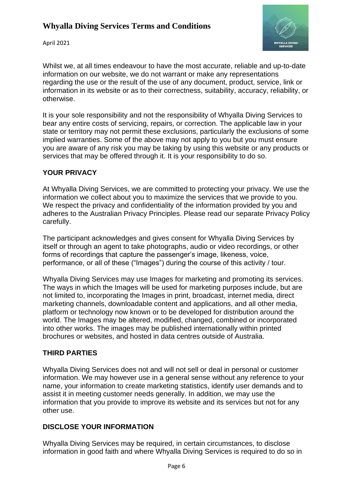

April 2021

Whilst we, at all times endeavour to have the most accurate, reliable and up-to-date information on our website, we do not warrant or make any representations regarding the use or the result of the use of any document, product, service, link or information in its website or as to their correctness, suitability, accuracy, reliability, or otherwise.

It is your sole responsibility and not the responsibility of Whyalla Diving Services to bear any entire costs of servicing, repairs, or correction. The applicable law in your state or territory may not permit these exclusions, particularly the exclusions of some implied warranties. Some of the above may not apply to you but you must ensure you are aware of any risk you may be taking by using this website or any products or services that may be offered through it. It is your responsibility to do so.

#### **YOUR PRIVACY**

At Whyalla Diving Services, we are committed to protecting your privacy. We use the information we collect about you to maximize the services that we provide to you. We respect the privacy and confidentiality of the information provided by you and adheres to the Australian Privacy Principles. Please read our separate Privacy Policy carefully.

The participant acknowledges and gives consent for Whyalla Diving Services by itself or through an agent to take photographs, audio or video recordings, or other forms of recordings that capture the passenger's image, likeness, voice, performance, or all of these ("Images") during the course of this activity / tour.

Whyalla Diving Services may use Images for marketing and promoting its services. The ways in which the Images will be used for marketing purposes include, but are not limited to, incorporating the Images in print, broadcast, internet media, direct marketing channels, downloadable content and applications, and all other media, platform or technology now known or to be developed for distribution around the world. The Images may be altered, modified, changed, combined or incorporated into other works. The images may be published internationally within printed brochures or websites, and hosted in data centres outside of Australia.

#### **THIRD PARTIES**

Whyalla Diving Services does not and will not sell or deal in personal or customer information. We may however use in a general sense without any reference to your name, your information to create marketing statistics, identify user demands and to assist it in meeting customer needs generally. In addition, we may use the information that you provide to improve its website and its services but not for any other use.

## **DISCLOSE YOUR INFORMATION**

Whyalla Diving Services may be required, in certain circumstances, to disclose information in good faith and where Whyalla Diving Services is required to do so in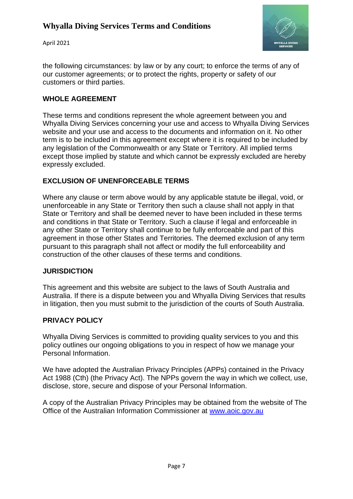April 2021



the following circumstances: by law or by any court; to enforce the terms of any of our customer agreements; or to protect the rights, property or safety of our customers or third parties.

### **WHOLE AGREEMENT**

These terms and conditions represent the whole agreement between you and Whyalla Diving Services concerning your use and access to Whyalla Diving Services website and your use and access to the documents and information on it. No other term is to be included in this agreement except where it is required to be included by any legislation of the Commonwealth or any State or Territory. All implied terms except those implied by statute and which cannot be expressly excluded are hereby expressly excluded.

#### **EXCLUSION OF UNENFORCEABLE TERMS**

Where any clause or term above would by any applicable statute be illegal, void, or unenforceable in any State or Territory then such a clause shall not apply in that State or Territory and shall be deemed never to have been included in these terms and conditions in that State or Territory. Such a clause if legal and enforceable in any other State or Territory shall continue to be fully enforceable and part of this agreement in those other States and Territories. The deemed exclusion of any term pursuant to this paragraph shall not affect or modify the full enforceability and construction of the other clauses of these terms and conditions.

#### **JURISDICTION**

This agreement and this website are subject to the laws of South Australia and Australia. If there is a dispute between you and Whyalla Diving Services that results in litigation, then you must submit to the jurisdiction of the courts of South Australia.

#### **PRIVACY POLICY**

Whyalla Diving Services is committed to providing quality services to you and this policy outlines our ongoing obligations to you in respect of how we manage your Personal Information.

We have adopted the Australian Privacy Principles (APPs) contained in the Privacy Act 1988 (Cth) (the Privacy Act). The NPPs govern the way in which we collect, use, disclose, store, secure and dispose of your Personal Information.

A copy of the Australian Privacy Principles may be obtained from the website of The Office of the Australian Information Commissioner at [www.aoic.gov.au](http://www.aoic.gov.au/)